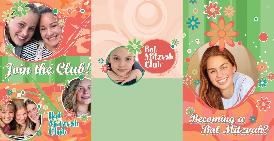